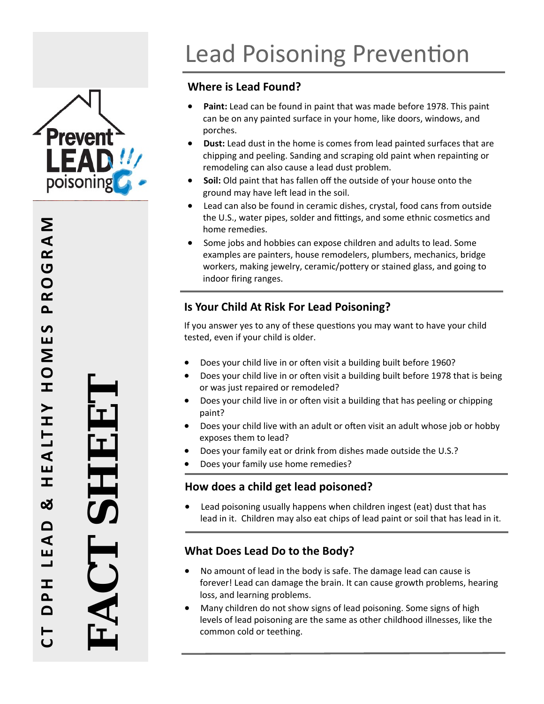

# **Where is Lead Found?**

- **Paint:** Lead can be found in paint that was made before 1978. This paint can be on any painted surface in your home, like doors, windows, and porches.
- **Dust:** Lead dust in the home is comes from lead painted surfaces that are chipping and peeling. Sanding and scraping old paint when repainting or remodeling can also cause a lead dust problem.
- **Soil:** Old paint that has fallen o ff the outside of your house onto the ground may have left lead in the soil.
- Lead can also be found in ceramic dishes, crystal, food cans from outside the U.S., water pipes, solder and fittings, and some ethnic cosmetics and home remedies.
- Some jobs and hobbies can expose children and adults to lead. Some examples are painters, house remodelers, plumbers, mechanics, bridge workers, making jewelry, ceramic/pottery or stained glass, and going to indoor firing ranges.

# **Is Your Child At Risk For Lead Poisoning?**

If you answer yes to any of these questions you may want to have your child tested, even if your child is older.

- Does your child live in or often visit a building built before 1960?
- Does your child live in or often visit a building built before 1978 that is being or was just repaired or remodeled?
- Does your child live in or often visit a building that has peeling or chipping paint?
- Does your child live with an adult or often visit an adult whose job or hobby exposes them to lead?
- Does your family eat or drink from dishes made outside the U.S.?
- Does your family use home remedies?

# **How does a child get lead poisoned?**

 Lead poisoning usually happens when children ingest (eat) dust that has lead in it. Children may also eat chips of lead paint or soil that has lead in it. 

# **What Does Lead Do to the Body?**

- No amount of lead in the body is safe. The damage lead can cause is forever! Lead can damage the brain. It can cause growth problems, hearing loss, and learning problems.
- Many children do not show signs of lead poisoning. Some signs of high levels of lead poisoning are the same as other childhood illnesses, like the common cold or teething.

 $\mathsf{z}$ **DPH LEAD & HEALTHY HOMES PROGRAM** GRAI  $\overline{O}$  $\alpha$  $\mathbf{a}$  $\mathbf{v}$ Ш **NO**  $\pm$  $\blacktriangleright$  $\pm$ ALT Е I ಯ ہ ⋖  $\blacksquare$  $\overline{\phantom{0}}$ ᆂ  $\Delta$  $\mathbf{\Omega}$ **C T**

**FACT SHEET** 

AU I

H EI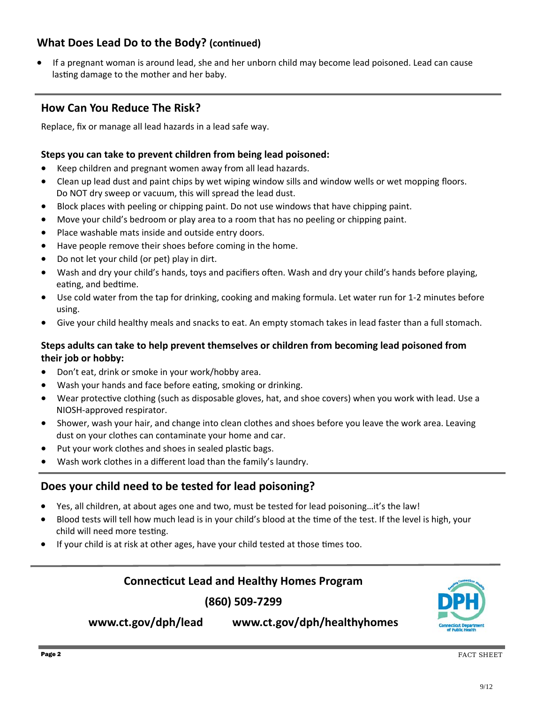# **What Does Lead Do to the Body?** (continued)

 If a pregnant woman is around lead, she and her unborn child may become lead poisoned. Lead can cause lasting damage to the mother and her baby.

# **How Can You Reduce The Risk?**

Replace, fix or manage all lead hazards in a lead safe way.

#### **Steps you can take to prevent children from being lead poisoned:**

- Keep children and pregnant women away from all lead hazards.
- Clean up lead dust and paint chips by wet wiping window sills and window wells or wet mopping floors. Do NOT dry sweep or vacuum, this will spread the lead dust.
- Block places with peeling or chipping paint. Do not use windows that have chipping paint.
- Move your child's bedroom or play area to a room that has no peeling or chipping paint.
- Place washable mats inside and outside entry doors.
- Have people remove their shoes before coming in the home.
- Do not let your child (or pet) play in dirt.
- Wash and dry your child's hands, toys and pacifiers often. Wash and dry your child's hands before playing, eating, and bedtime.
- Use cold water from the tap for drinking, cooking and making formula. Let water run for 1-2 minutes before using.
- Give your child healthy meals and snacks to eat. An empty stomach takes in lead faster than a full stomach.

#### **Steps adults can take to help prevent themselves or children from becoming lead poisoned from their job or hobby:**

- Don't eat, drink or smoke in your work/hobby area.
- Wash your hands and face before eating, smoking or drinking.
- Wear protective clothing (such as disposable gloves, hat, and shoe covers) when you work with lead. Use a NIOSH‐approved respirator.
- Shower, wash your hair, and change into clean clothes and shoes before you leave the work area. Leaving dust on your clothes can contaminate your home and car.
- Put your work clothes and shoes in sealed plastic bags.
- Wash work clothes in a different load than the family's laundry.

## **Does your child need to be tested for lead poisoning?**

- Yes, all children, at about ages one and two, must be tested for lead poisoning…it's the law!
- Blood tests will tell how much lead is in your child's blood at the time of the test. If the level is high, your child will need more testing.
- If your child is at risk at other ages, have your child tested at those times too.

### **ConnecƟcut Lead and Healthy Homes Program**

**(860) 509‐7299** 



#### **<www.ct.gov/dph/lead> <www.ct.gov/dph/healthyhomes>**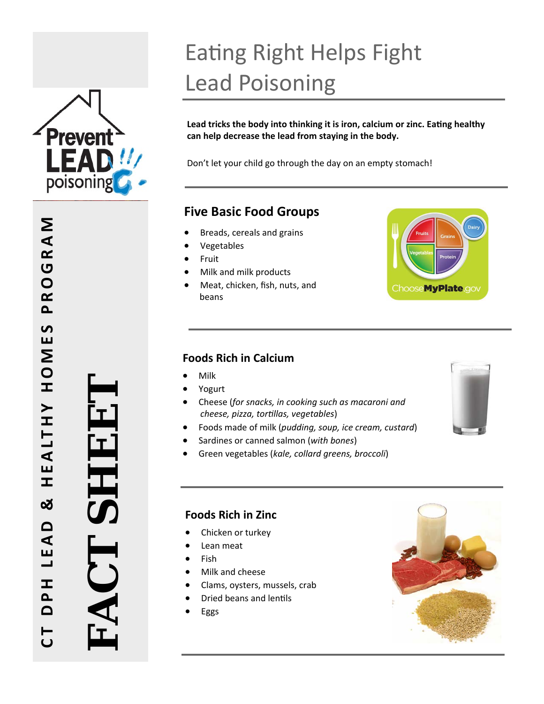

# Eating Right Helps Fight Lead Poisoning

**Lead tricks the body into thinking it is iron, calcium or zinc. Ea Ɵng healthy can help decrease the lead from staying in the body.** 

Don't let your child go through the day on an empty stomach!

# **Five Basic Food Groups**

- Breads, cereals and grains
- Vegetables
- Fruit
- Milk and milk products
- Meat, chicken, fish, nuts, and beans



## **Foods Rich in Calcium**

- Milk
- Yogurt
- Cheese (*for snacks, in cooking such as macaroni and cheese, pizza, tor Ɵllas, vegetables* )
- Foods made of milk (*pudding, soup, ice cream, custard* )
- Sardines or canned salmon (*with bones* )
- Green vegetables (*kale, collard greens, broccoli* )



## **Foods Rich in Zinc**

- Chicken or turkey
- Lean meat
- Fish
- Milk and cheese
- Clams, oysters, mussels, crab
- Dried beans and lentils
- Eggs



**FACT SHEET**  HH:l AC'I